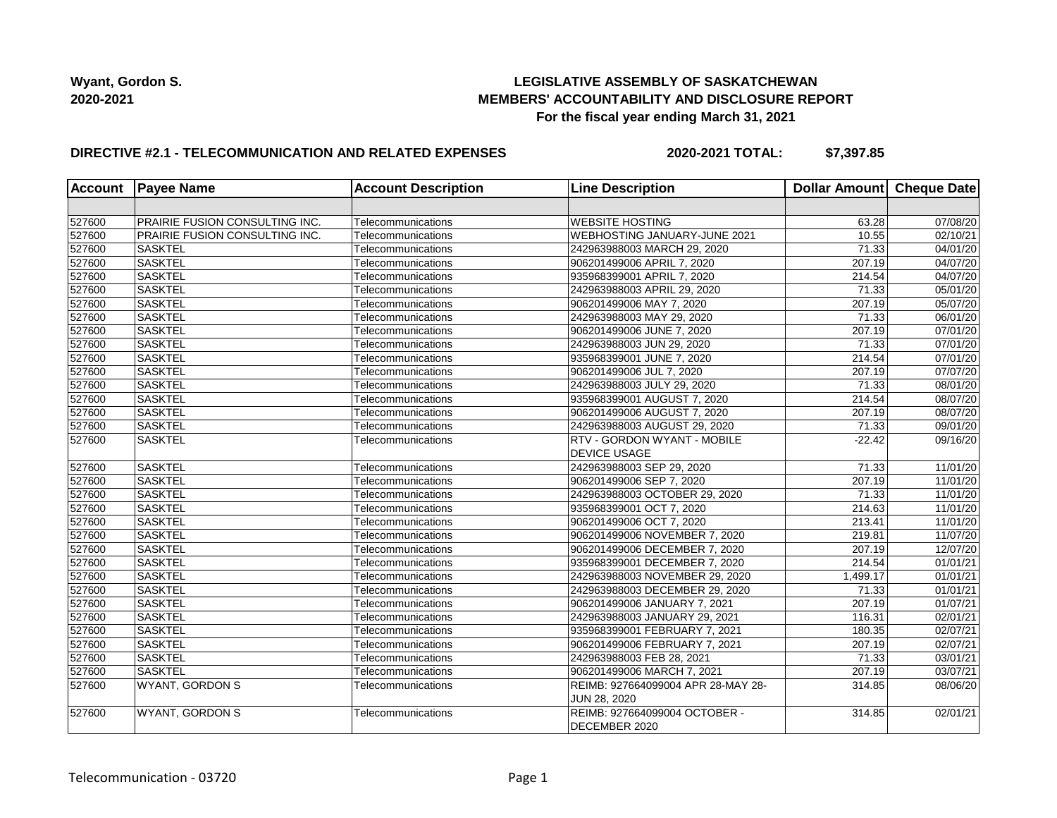# **LEGISLATIVE ASSEMBLY OF SASKATCHEWAN MEMBERS' ACCOUNTABILITY AND DISCLOSURE REPORT For the fiscal year ending March 31, 2021**

# **DIRECTIVE #2.1 - TELECOMMUNICATION AND RELATED EXPENSES**

**2020-2021 TOTAL: \$7,397.85**

| <b>Account</b> | <b>Payee Name</b>              | <b>Account Description</b> | <b>Line Description</b>            | Dollar Amount Cheque Date |                       |
|----------------|--------------------------------|----------------------------|------------------------------------|---------------------------|-----------------------|
|                |                                |                            |                                    |                           |                       |
| 527600         | PRAIRIE FUSION CONSULTING INC. | Telecommunications         | <b>WEBSITE HOSTING</b>             | 63.28                     | 07/08/20              |
| 527600         | PRAIRIE FUSION CONSULTING INC. | Telecommunications         | WEBHOSTING JANUARY-JUNE 2021       | 10.55                     | 02/10/21              |
| 527600         | <b>SASKTEL</b>                 | Telecommunications         | 242963988003 MARCH 29, 2020        | 71.33                     | 04/01/20              |
| 527600         | <b>SASKTEL</b>                 | Telecommunications         | 906201499006 APRIL 7, 2020         | 207.19                    | 04/07/20              |
| 527600         | <b>SASKTEL</b>                 | Telecommunications         | 935968399001 APRIL 7, 2020         | 214.54                    | 04/07/20              |
| 527600         | <b>SASKTEL</b>                 | Telecommunications         | 242963988003 APRIL 29, 2020        | 71.33                     | 05/01/20              |
| 527600         | <b>SASKTEL</b>                 | Telecommunications         | 906201499006 MAY 7, 2020           | 207.19                    | 05/07/20              |
| 527600         | <b>SASKTEL</b>                 | Telecommunications         | 242963988003 MAY 29, 2020          | 71.33                     | 06/01/20              |
| 527600         | SASKTEL                        | Telecommunications         | 906201499006 JUNE 7, 2020          | 207.19                    | 07/01/20              |
| 527600         | <b>SASKTEL</b>                 | Telecommunications         | 242963988003 JUN 29, 2020          | 71.33                     | 07/01/20              |
| 527600         | <b>SASKTEL</b>                 | Telecommunications         | 935968399001 JUNE 7, 2020          | 214.54                    | 07/01/20              |
| 527600         | <b>SASKTEL</b>                 | Telecommunications         | 906201499006 JUL 7, 2020           | 207.19                    | 07/07/20              |
| 527600         | <b>SASKTEL</b>                 | Telecommunications         | 242963988003 JULY 29, 2020         | 71.33                     | $\overline{08}/01/20$ |
| 527600         | <b>SASKTEL</b>                 | Telecommunications         | 935968399001 AUGUST 7, 2020        | 214.54                    | 08/07/20              |
| 527600         | <b>SASKTEL</b>                 | Telecommunications         | 906201499006 AUGUST 7, 2020        | 207.19                    | 08/07/20              |
| 527600         | <b>SASKTEL</b>                 | Telecommunications         | 242963988003 AUGUST 29, 2020       | 71.33                     | 09/01/20              |
| 527600         | <b>SASKTEL</b>                 | Telecommunications         | <b>RTV - GORDON WYANT - MOBILE</b> | $-22.42$                  | 09/16/20              |
|                |                                |                            | <b>DEVICE USAGE</b>                |                           |                       |
| 527600         | <b>SASKTEL</b>                 | Telecommunications         | 242963988003 SEP 29, 2020          | 71.33                     | 11/01/20              |
| 527600         | SASKTEL                        | Telecommunications         | 906201499006 SEP 7, 2020           | 207.19                    | 11/01/20              |
| 527600         | <b>SASKTEL</b>                 | Telecommunications         | 242963988003 OCTOBER 29, 2020      | 71.33                     | 11/01/20              |
| 527600         | SASKTEL                        | Telecommunications         | 935968399001 OCT 7, 2020           | 214.63                    | 11/01/20              |
| 527600         | <b>SASKTEL</b>                 | Telecommunications         | 906201499006 OCT 7, 2020           | 213.41                    | 11/01/20              |
| 527600         | <b>SASKTEL</b>                 | Telecommunications         | 906201499006 NOVEMBER 7, 2020      | 219.81                    | 11/07/20              |
| 527600         | SASKTEL                        | Telecommunications         | 906201499006 DECEMBER 7, 2020      | 207.19                    | 12/07/20              |
| 527600         | SASKTEL                        | Telecommunications         | 935968399001 DECEMBER 7, 2020      | 214.54                    | 01/01/21              |
| 527600         | SASKTEL                        | Telecommunications         | 242963988003 NOVEMBER 29, 2020     | 1,499.17                  | 01/01/21              |
| 527600         | SASKTEL                        | Telecommunications         | 242963988003 DECEMBER 29, 2020     | 71.33                     | 01/01/21              |
| 527600         | <b>SASKTEL</b>                 | Telecommunications         | 906201499006 JANUARY 7, 2021       | 207.19                    | 01/07/21              |
| 527600         | SASKTEL                        | Telecommunications         | 242963988003 JANUARY 29, 2021      | 116.31                    | 02/01/21              |
| 527600         | SASKTEL                        | Telecommunications         | 935968399001 FEBRUARY 7, 2021      | 180.35                    | $\overline{02}/07/21$ |
| 527600         | <b>SASKTEL</b>                 | Telecommunications         | 906201499006 FEBRUARY 7, 2021      | 207.19                    | 02/07/21              |
| 527600         | <b>SASKTEL</b>                 | Telecommunications         | 242963988003 FEB 28, 2021          | 71.33                     | 03/01/21              |
| 527600         | <b>SASKTEL</b>                 | Telecommunications         | 906201499006 MARCH 7, 2021         | 207.19                    | 03/07/21              |
| 527600         | <b>WYANT, GORDON S</b>         | Telecommunications         | REIMB: 927664099004 APR 28-MAY 28- | 314.85                    | 08/06/20              |
|                |                                |                            | JUN 28, 2020                       |                           |                       |
| 527600         | <b>WYANT, GORDON S</b>         | Telecommunications         | REIMB: 927664099004 OCTOBER -      | 314.85                    | 02/01/21              |
|                |                                |                            | DECEMBER 2020                      |                           |                       |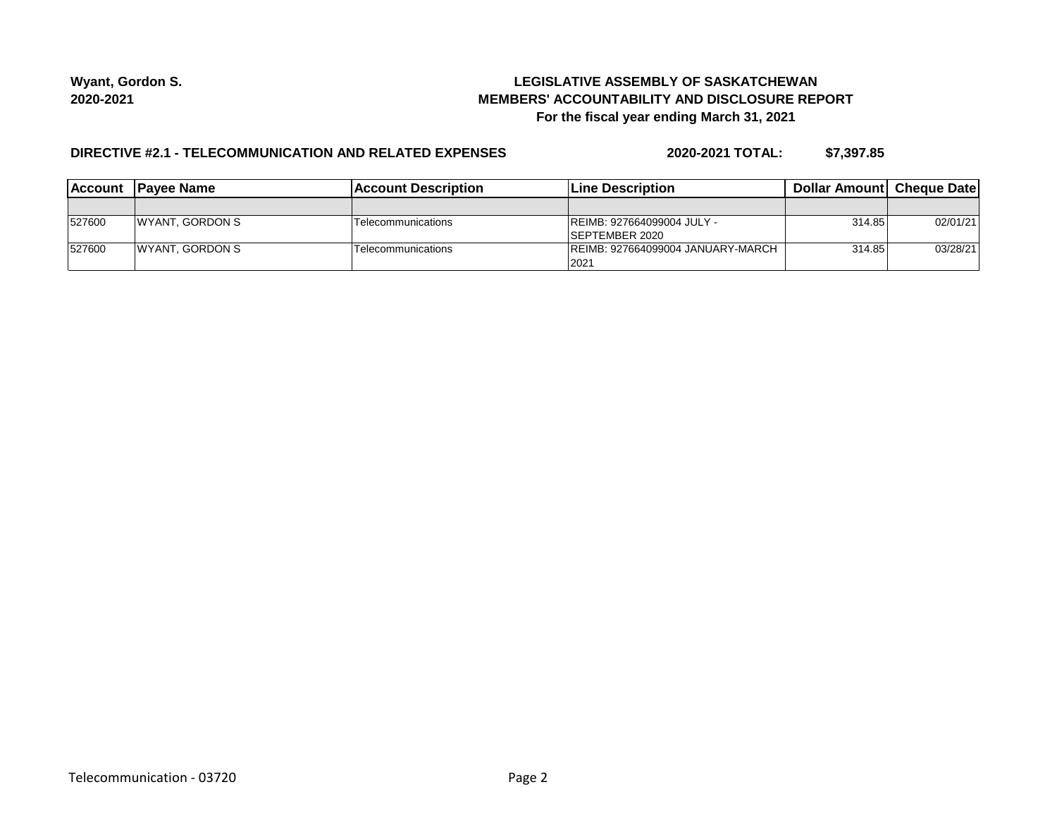# **LEGISLATIVE ASSEMBLY OF SASKATCHEWAN MEMBERS' ACCOUNTABILITY AND DISCLOSURE REPORT For the fiscal year ending March 31, 2021**

### **DIRECTIVE #2.1 - TELECOMMUNICATION AND RELATED EXPENSES**

**2020-2021 TOTAL: \$7,397.85**

| <b>Account</b> | <b>IPavee Name</b>     | Account Description       | <b>ILine Description</b>           | <b>Dollar Amountl Cheque Date</b> |          |
|----------------|------------------------|---------------------------|------------------------------------|-----------------------------------|----------|
|                |                        |                           |                                    |                                   |          |
| 527600         | <b>WYANT, GORDON S</b> | <b>Telecommunications</b> | IREIMB: 927664099004 JULY -        | 314.85                            | 02/01/21 |
|                |                        |                           | <b>ISEPTEMBER 2020</b>             |                                   |          |
| 527600         | <b>WYANT, GORDON S</b> | <b>Telecommunications</b> | IREIMB: 927664099004 JANUARY-MARCH | 314.85                            | 03/28/21 |
|                |                        |                           | 2021                               |                                   |          |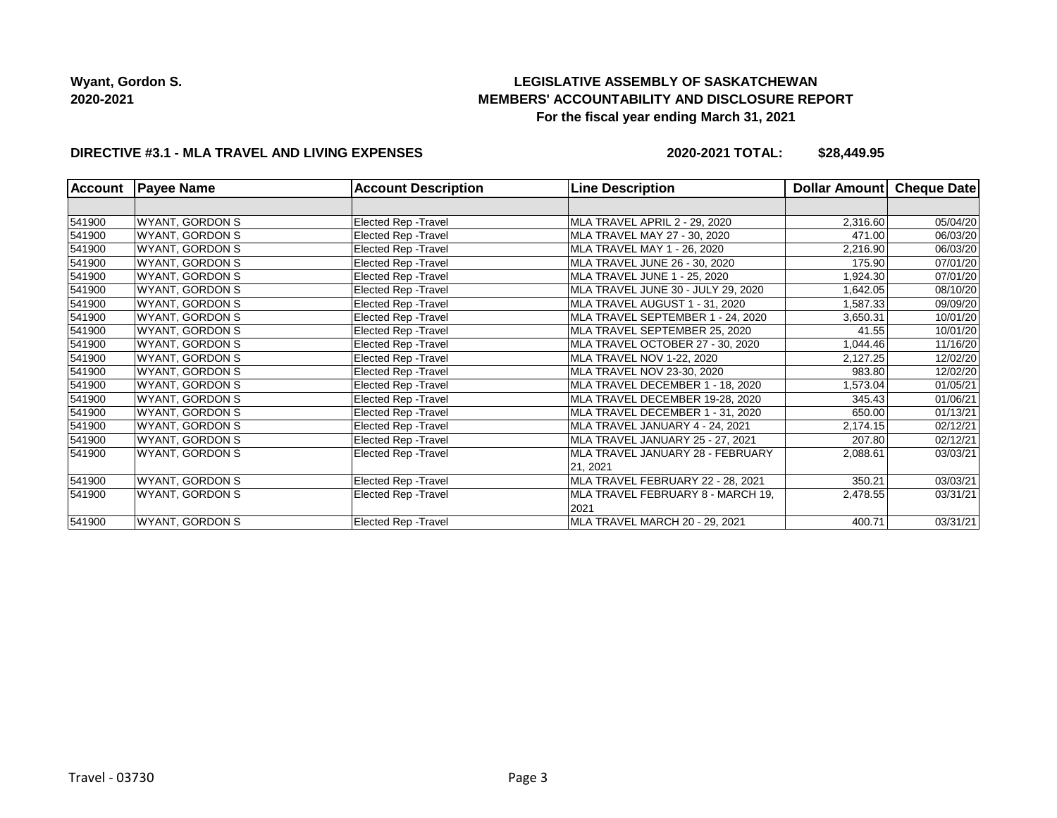# **LEGISLATIVE ASSEMBLY OF SASKATCHEWAN MEMBERS' ACCOUNTABILITY AND DISCLOSURE REPORT For the fiscal year ending March 31, 2021**

### **DIRECTIVE #3.1 - MLA TRAVEL AND LIVING EXPENSES**

**2020-2021 TOTAL: \$28,449.95**

| <b>Account</b> | <b>Payee Name</b>      | <b>Account Description</b>  | <b>Line Description</b>              | Dollar Amount | Cheque Date |
|----------------|------------------------|-----------------------------|--------------------------------------|---------------|-------------|
|                |                        |                             |                                      |               |             |
| 541900         | <b>WYANT, GORDON S</b> | <b>Elected Rep - Travel</b> | <b>MLA TRAVEL APRIL 2 - 29, 2020</b> | 2,316.60      | 05/04/20    |
| 541900         | WYANT, GORDON S        | <b>Elected Rep - Travel</b> | MLA TRAVEL MAY 27 - 30, 2020         | 471.00        | 06/03/20    |
| 541900         | WYANT, GORDON S        | <b>Elected Rep - Travel</b> | MLA TRAVEL MAY 1 - 26, 2020          | 2,216.90      | 06/03/20    |
| 541900         | WYANT, GORDON S        | <b>Elected Rep - Travel</b> | MLA TRAVEL JUNE 26 - 30, 2020        | 175.90        | 07/01/20    |
| 541900         | WYANT, GORDON S        | <b>Elected Rep - Travel</b> | MLA TRAVEL JUNE 1 - 25, 2020         | 1,924.30      | 07/01/20    |
| 541900         | WYANT, GORDON S        | <b>Elected Rep - Travel</b> | MLA TRAVEL JUNE 30 - JULY 29, 2020   | 1,642.05      | 08/10/20    |
| 541900         | WYANT, GORDON S        | <b>Elected Rep - Travel</b> | MLA TRAVEL AUGUST 1 - 31, 2020       | 1,587.33      | 09/09/20    |
| 541900         | WYANT, GORDON S        | <b>Elected Rep - Travel</b> | MLA TRAVEL SEPTEMBER 1 - 24, 2020    | 3,650.31      | 10/01/20    |
| 541900         | WYANT, GORDON S        | <b>Elected Rep - Travel</b> | MLA TRAVEL SEPTEMBER 25, 2020        | 41.55         | 10/01/20    |
| 541900         | WYANT, GORDON S        | <b>Elected Rep - Travel</b> | MLA TRAVEL OCTOBER 27 - 30, 2020     | 1,044.46      | 11/16/20    |
| 541900         | WYANT, GORDON S        | <b>Elected Rep - Travel</b> | MLA TRAVEL NOV 1-22, 2020            | 2,127.25      | 12/02/20    |
| 541900         | WYANT, GORDON S        | <b>Elected Rep - Travel</b> | MLA TRAVEL NOV 23-30, 2020           | 983.80        | 12/02/20    |
| 541900         | WYANT, GORDON S        | <b>Elected Rep - Travel</b> | MLA TRAVEL DECEMBER 1 - 18, 2020     | 1,573.04      | 01/05/21    |
| 541900         | WYANT, GORDON S        | Elected Rep - Travel        | MLA TRAVEL DECEMBER 19-28, 2020      | 345.43        | 01/06/21    |
| 541900         | WYANT, GORDON S        | <b>Elected Rep - Travel</b> | MLA TRAVEL DECEMBER 1 - 31, 2020     | 650.00        | 01/13/21    |
| 541900         | WYANT, GORDON S        | <b>Elected Rep - Travel</b> | MLA TRAVEL JANUARY 4 - 24, 2021      | 2,174.15      | 02/12/21    |
| 541900         | WYANT, GORDON S        | <b>Elected Rep - Travel</b> | MLA TRAVEL JANUARY 25 - 27, 2021     | 207.80        | 02/12/21    |
| 541900         | WYANT, GORDON S        | <b>Elected Rep - Travel</b> | MLA TRAVEL JANUARY 28 - FEBRUARY     | 2,088.61      | 03/03/21    |
|                |                        |                             | 21, 2021                             |               |             |
| 541900         | <b>WYANT, GORDON S</b> | <b>Elected Rep - Travel</b> | MLA TRAVEL FEBRUARY 22 - 28, 2021    | 350.21        | 03/03/21    |
| 541900         | <b>WYANT, GORDON S</b> | <b>Elected Rep - Travel</b> | MLA TRAVEL FEBRUARY 8 - MARCH 19,    | 2,478.55      | 03/31/21    |
|                |                        |                             | 2021                                 |               |             |
| 541900         | WYANT, GORDON S        | <b>Elected Rep - Travel</b> | MLA TRAVEL MARCH 20 - 29, 2021       | 400.71        | 03/31/21    |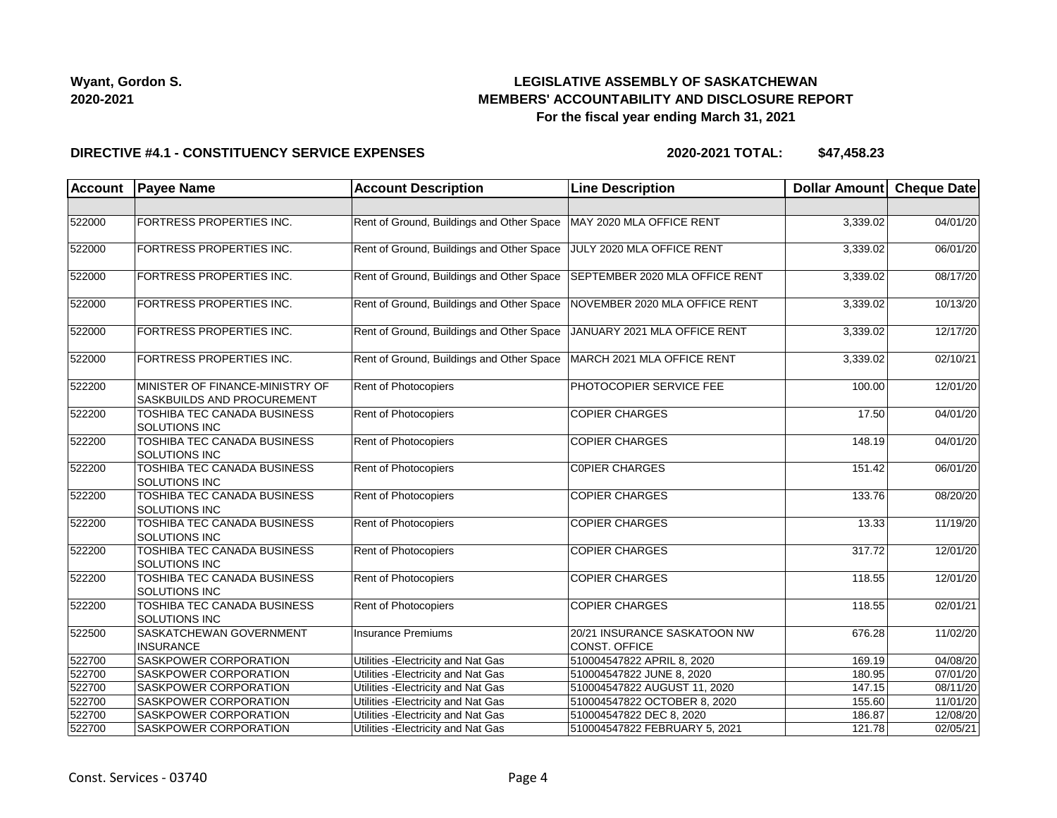# **LEGISLATIVE ASSEMBLY OF SASKATCHEWAN MEMBERS' ACCOUNTABILITY AND DISCLOSURE REPORT For the fiscal year ending March 31, 2021**

### **DIRECTIVE #4.1 - CONSTITUENCY SERVICE EXPENSES**

**2020-2021 TOTAL: \$47,458.23**

| Account | <b>Payee Name</b>                                             | <b>Account Description</b>                | <b>Line Description</b>                       | Dollar Amount Cheque Date |          |
|---------|---------------------------------------------------------------|-------------------------------------------|-----------------------------------------------|---------------------------|----------|
|         |                                                               |                                           |                                               |                           |          |
| 522000  | FORTRESS PROPERTIES INC.                                      | Rent of Ground, Buildings and Other Space | MAY 2020 MLA OFFICE RENT                      | 3,339.02                  | 04/01/20 |
| 522000  | FORTRESS PROPERTIES INC.                                      | Rent of Ground, Buildings and Other Space | JULY 2020 MLA OFFICE RENT                     | 3,339.02                  | 06/01/20 |
| 522000  | FORTRESS PROPERTIES INC.                                      | Rent of Ground, Buildings and Other Space | SEPTEMBER 2020 MLA OFFICE RENT                | 3,339.02                  | 08/17/20 |
| 522000  | FORTRESS PROPERTIES INC.                                      | Rent of Ground, Buildings and Other Space | NOVEMBER 2020 MLA OFFICE RENT                 | 3,339.02                  | 10/13/20 |
| 522000  | FORTRESS PROPERTIES INC.                                      | Rent of Ground, Buildings and Other Space | JANUARY 2021 MLA OFFICE RENT                  | 3,339.02                  | 12/17/20 |
| 522000  | FORTRESS PROPERTIES INC.                                      | Rent of Ground, Buildings and Other Space | MARCH 2021 MLA OFFICE RENT                    | 3,339.02                  | 02/10/21 |
| 522200  | MINISTER OF FINANCE-MINISTRY OF<br>SASKBUILDS AND PROCUREMENT | <b>Rent of Photocopiers</b>               | PHOTOCOPIER SERVICE FEE                       | 100.00                    | 12/01/20 |
| 522200  | TOSHIBA TEC CANADA BUSINESS<br>SOLUTIONS INC                  | Rent of Photocopiers                      | <b>COPIER CHARGES</b>                         | 17.50                     | 04/01/20 |
| 522200  | TOSHIBA TEC CANADA BUSINESS<br><b>SOLUTIONS INC</b>           | Rent of Photocopiers                      | <b>COPIER CHARGES</b>                         | 148.19                    | 04/01/20 |
| 522200  | TOSHIBA TEC CANADA BUSINESS<br>SOLUTIONS INC                  | Rent of Photocopiers                      | <b>COPIER CHARGES</b>                         | 151.42                    | 06/01/20 |
| 522200  | TOSHIBA TEC CANADA BUSINESS<br><b>SOLUTIONS INC</b>           | <b>Rent of Photocopiers</b>               | <b>COPIER CHARGES</b>                         | 133.76                    | 08/20/20 |
| 522200  | TOSHIBA TEC CANADA BUSINESS<br><b>SOLUTIONS INC</b>           | <b>Rent of Photocopiers</b>               | <b>COPIER CHARGES</b>                         | 13.33                     | 11/19/20 |
| 522200  | TOSHIBA TEC CANADA BUSINESS<br><b>SOLUTIONS INC</b>           | Rent of Photocopiers                      | <b>COPIER CHARGES</b>                         | 317.72                    | 12/01/20 |
| 522200  | <b>TOSHIBA TEC CANADA BUSINESS</b><br>SOLUTIONS INC           | Rent of Photocopiers                      | <b>COPIER CHARGES</b>                         | 118.55                    | 12/01/20 |
| 522200  | TOSHIBA TEC CANADA BUSINESS<br><b>SOLUTIONS INC</b>           | Rent of Photocopiers                      | <b>COPIER CHARGES</b>                         | 118.55                    | 02/01/21 |
| 522500  | SASKATCHEWAN GOVERNMENT<br><b>INSURANCE</b>                   | <b>Insurance Premiums</b>                 | 20/21 INSURANCE SASKATOON NW<br>CONST. OFFICE | 676.28                    | 11/02/20 |
| 522700  | <b>SASKPOWER CORPORATION</b>                                  | Utilities - Electricity and Nat Gas       | 510004547822 APRIL 8, 2020                    | 169.19                    | 04/08/20 |
| 522700  | <b>SASKPOWER CORPORATION</b>                                  | Utilities - Electricity and Nat Gas       | 510004547822 JUNE 8, 2020                     | 180.95                    | 07/01/20 |
| 522700  | <b>SASKPOWER CORPORATION</b>                                  | Utilities - Electricity and Nat Gas       | 510004547822 AUGUST 11, 2020                  | 147.15                    | 08/11/20 |
| 522700  | <b>SASKPOWER CORPORATION</b>                                  | Utilities - Electricity and Nat Gas       | 510004547822 OCTOBER 8, 2020                  | 155.60                    | 11/01/20 |
| 522700  | SASKPOWER CORPORATION                                         | Utilities - Electricity and Nat Gas       | 510004547822 DEC 8, 2020                      | 186.87                    | 12/08/20 |
| 522700  | SASKPOWER CORPORATION                                         | Utilities - Electricity and Nat Gas       | 510004547822 FEBRUARY 5, 2021                 | 121.78                    | 02/05/21 |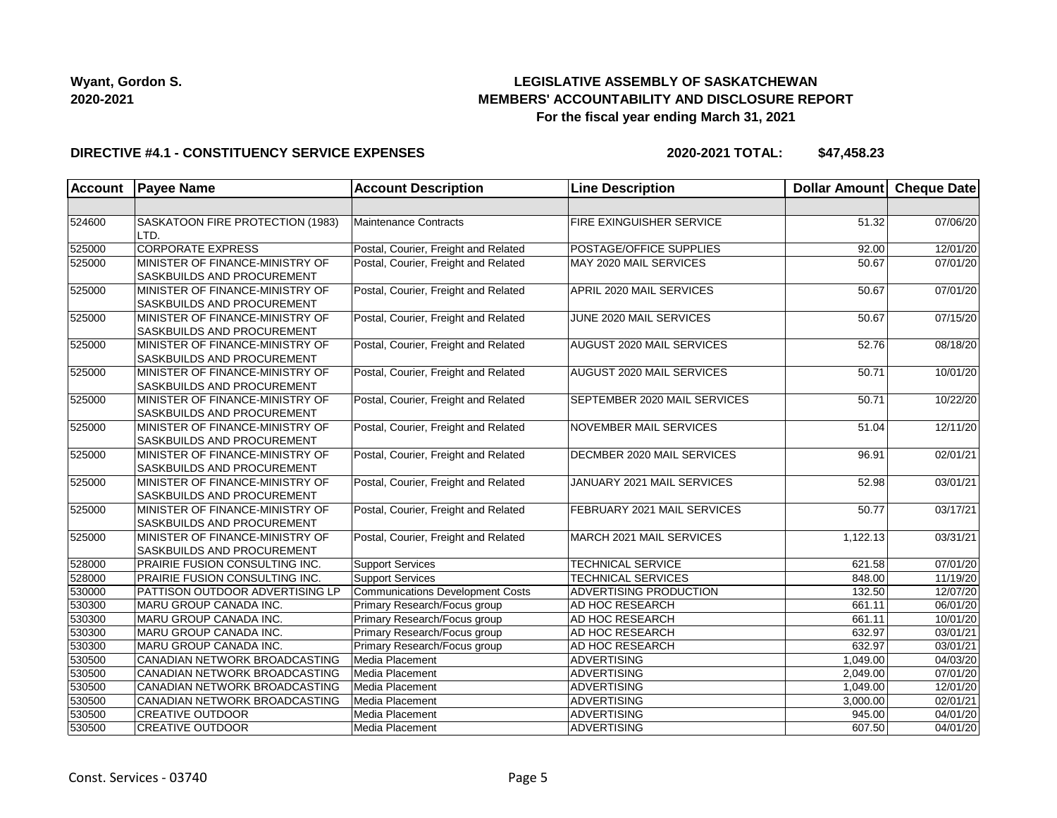# **LEGISLATIVE ASSEMBLY OF SASKATCHEWAN MEMBERS' ACCOUNTABILITY AND DISCLOSURE REPORT For the fiscal year ending March 31, 2021**

### **DIRECTIVE #4.1 - CONSTITUENCY SERVICE EXPENSES**

**2020-2021 TOTAL: \$47,458.23**

| <b>Account</b> | <b>Payee Name</b>                                             | <b>Account Description</b>           | <b>Line Description</b>          | Dollar Amount Cheque Date |          |
|----------------|---------------------------------------------------------------|--------------------------------------|----------------------------------|---------------------------|----------|
|                |                                                               |                                      |                                  |                           |          |
| 524600         | SASKATOON FIRE PROTECTION (1983)<br>LTD.                      | Maintenance Contracts                | FIRE EXINGUISHER SERVICE         | 51.32                     | 07/06/20 |
| 525000         | <b>CORPORATE EXPRESS</b>                                      | Postal, Courier, Freight and Related | <b>POSTAGE/OFFICE SUPPLIES</b>   | 92.00                     | 12/01/20 |
| 525000         | MINISTER OF FINANCE-MINISTRY OF<br>SASKBUILDS AND PROCUREMENT | Postal, Courier, Freight and Related | MAY 2020 MAIL SERVICES           | 50.67                     | 07/01/20 |
| 525000         | MINISTER OF FINANCE-MINISTRY OF<br>SASKBUILDS AND PROCUREMENT | Postal, Courier, Freight and Related | APRIL 2020 MAIL SERVICES         | 50.67                     | 07/01/20 |
| 525000         | MINISTER OF FINANCE-MINISTRY OF<br>SASKBUILDS AND PROCUREMENT | Postal, Courier, Freight and Related | JUNE 2020 MAIL SERVICES          | 50.67                     | 07/15/20 |
| 525000         | MINISTER OF FINANCE-MINISTRY OF<br>SASKBUILDS AND PROCUREMENT | Postal, Courier, Freight and Related | <b>AUGUST 2020 MAIL SERVICES</b> | 52.76                     | 08/18/20 |
| 525000         | MINISTER OF FINANCE-MINISTRY OF<br>SASKBUILDS AND PROCUREMENT | Postal, Courier, Freight and Related | AUGUST 2020 MAIL SERVICES        | 50.71                     | 10/01/20 |
| 525000         | MINISTER OF FINANCE-MINISTRY OF<br>SASKBUILDS AND PROCUREMENT | Postal, Courier, Freight and Related | SEPTEMBER 2020 MAIL SERVICES     | 50.71                     | 10/22/20 |
| 525000         | MINISTER OF FINANCE-MINISTRY OF<br>SASKBUILDS AND PROCUREMENT | Postal, Courier, Freight and Related | <b>NOVEMBER MAIL SERVICES</b>    | 51.04                     | 12/11/20 |
| 525000         | MINISTER OF FINANCE-MINISTRY OF<br>SASKBUILDS AND PROCUREMENT | Postal, Courier, Freight and Related | DECMBER 2020 MAIL SERVICES       | 96.91                     | 02/01/21 |
| 525000         | MINISTER OF FINANCE-MINISTRY OF<br>SASKBUILDS AND PROCUREMENT | Postal, Courier, Freight and Related | JANUARY 2021 MAIL SERVICES       | 52.98                     | 03/01/21 |
| 525000         | MINISTER OF FINANCE-MINISTRY OF<br>SASKBUILDS AND PROCUREMENT | Postal, Courier, Freight and Related | FEBRUARY 2021 MAIL SERVICES      | 50.77                     | 03/17/21 |
| 525000         | MINISTER OF FINANCE-MINISTRY OF<br>SASKBUILDS AND PROCUREMENT | Postal, Courier, Freight and Related | MARCH 2021 MAIL SERVICES         | 1,122.13                  | 03/31/21 |
| 528000         | <b>PRAIRIE FUSION CONSULTING INC.</b>                         | <b>Support Services</b>              | <b>TECHNICAL SERVICE</b>         | 621.58                    | 07/01/20 |
| 528000         | <b>PRAIRIE FUSION CONSULTING INC.</b>                         | <b>Support Services</b>              | <b>TECHNICAL SERVICES</b>        | 848.00                    | 11/19/20 |
| 530000         | <b>PATTISON OUTDOOR ADVERTISING LP</b>                        | Communications Development Costs     | <b>ADVERTISING PRODUCTION</b>    | 132.50                    | 12/07/20 |
| 530300         | MARU GROUP CANADA INC.                                        | Primary Research/Focus group         | AD HOC RESEARCH                  | 661.11                    | 06/01/20 |
| 530300         | MARU GROUP CANADA INC.                                        | Primary Research/Focus group         | <b>AD HOC RESEARCH</b>           | 661.11                    | 10/01/20 |
| 530300         | MARU GROUP CANADA INC.                                        | Primary Research/Focus group         | AD HOC RESEARCH                  | 632.97                    | 03/01/21 |
| 530300         | MARU GROUP CANADA INC.                                        | Primary Research/Focus group         | <b>AD HOC RESEARCH</b>           | 632.97                    | 03/01/21 |
| 530500         | CANADIAN NETWORK BROADCASTING                                 | Media Placement                      | ADVERTISING                      | 1,049.00                  | 04/03/20 |
| 530500         | CANADIAN NETWORK BROADCASTING                                 | Media Placement                      | <b>ADVERTISING</b>               | 2,049.00                  | 07/01/20 |
| 530500         | CANADIAN NETWORK BROADCASTING                                 | Media Placement                      | <b>ADVERTISING</b>               | 1,049.00                  | 12/01/20 |
| 530500         | CANADIAN NETWORK BROADCASTING                                 | Media Placement                      | ADVERTISING                      | 3,000.00                  | 02/01/21 |
| 530500         | <b>CREATIVE OUTDOOR</b>                                       | Media Placement                      | <b>ADVERTISING</b>               | 945.00                    | 04/01/20 |
| 530500         | <b>CREATIVE OUTDOOR</b>                                       | Media Placement                      | <b>ADVERTISING</b>               | 607.50                    | 04/01/20 |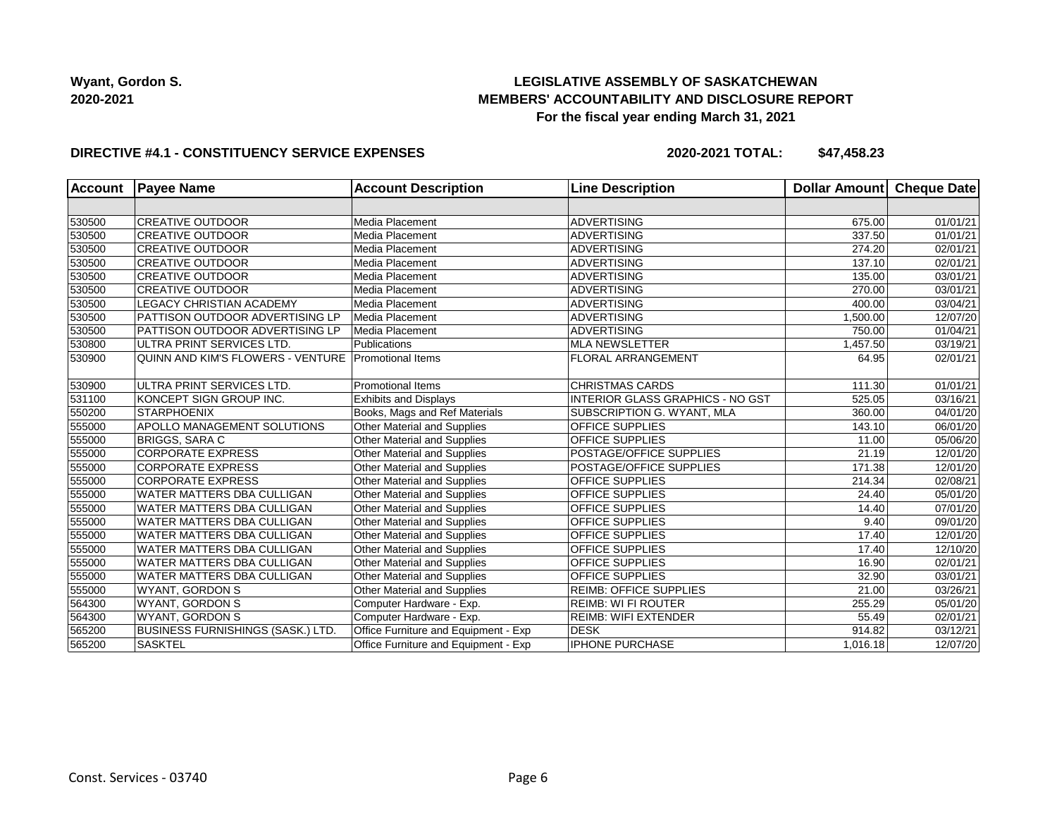# **LEGISLATIVE ASSEMBLY OF SASKATCHEWAN MEMBERS' ACCOUNTABILITY AND DISCLOSURE REPORT For the fiscal year ending March 31, 2021**

### **DIRECTIVE #4.1 - CONSTITUENCY SERVICE EXPENSES**

**2020-2021 TOTAL: \$47,458.23**

| <b>Account</b> | <b>Payee Name</b>                        | <b>Account Description</b>           | <b>Line Description</b>                 | Dollar Amount | Cheque Date           |
|----------------|------------------------------------------|--------------------------------------|-----------------------------------------|---------------|-----------------------|
|                |                                          |                                      |                                         |               |                       |
| 530500         | <b>CREATIVE OUTDOOR</b>                  | Media Placement                      | <b>ADVERTISING</b>                      | 675.00        | 01/01/21              |
| 530500         | <b>CREATIVE OUTDOOR</b>                  | Media Placement                      | <b>ADVERTISING</b>                      | 337.50        | 01/01/21              |
| 530500         | <b>CREATIVE OUTDOOR</b>                  | Media Placement                      | <b>ADVERTISING</b>                      | 274.20        | 02/01/21              |
| 530500         | <b>CREATIVE OUTDOOR</b>                  | Media Placement                      | <b>ADVERTISING</b>                      | 137.10        | 02/01/21              |
| 530500         | <b>CREATIVE OUTDOOR</b>                  | Media Placement                      | ADVERTISING                             | 135.00        | $\overline{03}/01/21$ |
| 530500         | <b>CREATIVE OUTDOOR</b>                  | Media Placement                      | <b>ADVERTISING</b>                      | 270.00        | 03/01/21              |
| 530500         | LEGACY CHRISTIAN ACADEMY                 | Media Placement                      | <b>ADVERTISING</b>                      | 400.00        | 03/04/21              |
| 530500         | PATTISON OUTDOOR ADVERTISING LP          | Media Placement                      | <b>ADVERTISING</b>                      | 1,500.00      | $\overline{12}/07/20$ |
| 530500         | PATTISON OUTDOOR ADVERTISING LP          | Media Placement                      | <b>ADVERTISING</b>                      | 750.00        | 01/04/21              |
| 530800         | ULTRA PRINT SERVICES LTD.                | Publications                         | <b>MLA NEWSLETTER</b>                   | 1,457.50      | 03/19/21              |
| 530900         | QUINN AND KIM'S FLOWERS - VENTURE        | Promotional Items                    | <b>FLORAL ARRANGEMENT</b>               | 64.95         | 02/01/21              |
| 530900         | ULTRA PRINT SERVICES LTD.                | <b>Promotional Items</b>             | <b>CHRISTMAS CARDS</b>                  | 111.30        | $\overline{01}/01/21$ |
| 531100         | KONCEPT SIGN GROUP INC.                  | <b>Exhibits and Displays</b>         | <b>INTERIOR GLASS GRAPHICS - NO GST</b> | 525.05        | 03/16/21              |
| 550200         | <b>STARPHOENIX</b>                       | Books, Mags and Ref Materials        | SUBSCRIPTION G. WYANT, MLA              | 360.00        | 04/01/20              |
| 555000         | APOLLO MANAGEMENT SOLUTIONS              | Other Material and Supplies          | OFFICE SUPPLIES                         | 143.10        | 06/01/20              |
| 555000         | <b>BRIGGS, SARA C</b>                    | Other Material and Supplies          | OFFICE SUPPLIES                         | 11.00         | 05/06/20              |
| 555000         | <b>CORPORATE EXPRESS</b>                 | Other Material and Supplies          | POSTAGE/OFFICE SUPPLIES                 | 21.19         | 12/01/20              |
| 555000         | <b>CORPORATE EXPRESS</b>                 | Other Material and Supplies          | POSTAGE/OFFICE SUPPLIES                 | 171.38        | 12/01/20              |
| 555000         | <b>CORPORATE EXPRESS</b>                 | Other Material and Supplies          | OFFICE SUPPLIES                         | 214.34        | 02/08/21              |
| 555000         | <b>WATER MATTERS DBA CULLIGAN</b>        | Other Material and Supplies          | <b>OFFICE SUPPLIES</b>                  | 24.40         | 05/01/20              |
| 555000         | <b>WATER MATTERS DBA CULLIGAN</b>        | Other Material and Supplies          | <b>OFFICE SUPPLIES</b>                  | 14.40         | $\overline{07}/01/20$ |
| 555000         | WATER MATTERS DBA CULLIGAN               | Other Material and Supplies          | <b>OFFICE SUPPLIES</b>                  | 9.40          | 09/01/20              |
| 555000         | WATER MATTERS DBA CULLIGAN               | Other Material and Supplies          | <b>OFFICE SUPPLIES</b>                  | 17.40         | 12/01/20              |
| 555000         | <b>WATER MATTERS DBA CULLIGAN</b>        | Other Material and Supplies          | <b>OFFICE SUPPLIES</b>                  | 17.40         | 12/10/20              |
| 555000         | WATER MATTERS DBA CULLIGAN               | Other Material and Supplies          | OFFICE SUPPLIES                         | 16.90         | 02/01/21              |
| 555000         | <b>WATER MATTERS DBA CULLIGAN</b>        | Other Material and Supplies          | <b>OFFICE SUPPLIES</b>                  | 32.90         | $\overline{03}/01/21$ |
| 555000         | <b>WYANT, GORDON S</b>                   | Other Material and Supplies          | <b>REIMB: OFFICE SUPPLIES</b>           | 21.00         | 03/26/21              |
| 564300         | WYANT, GORDON S                          | Computer Hardware - Exp.             | <b>REIMB: WI FI ROUTER</b>              | 255.29        | 05/01/20              |
| 564300         | WYANT, GORDON S                          | Computer Hardware - Exp.             | <b>REIMB: WIFI EXTENDER</b>             | 55.49         | 02/01/21              |
| 565200         | <b>BUSINESS FURNISHINGS (SASK.) LTD.</b> | Office Furniture and Equipment - Exp | <b>DESK</b>                             | 914.82        | 03/12/21              |
| 565200         | <b>SASKTEL</b>                           | Office Furniture and Equipment - Exp | <b>IPHONE PURCHASE</b>                  | 1,016.18      | 12/07/20              |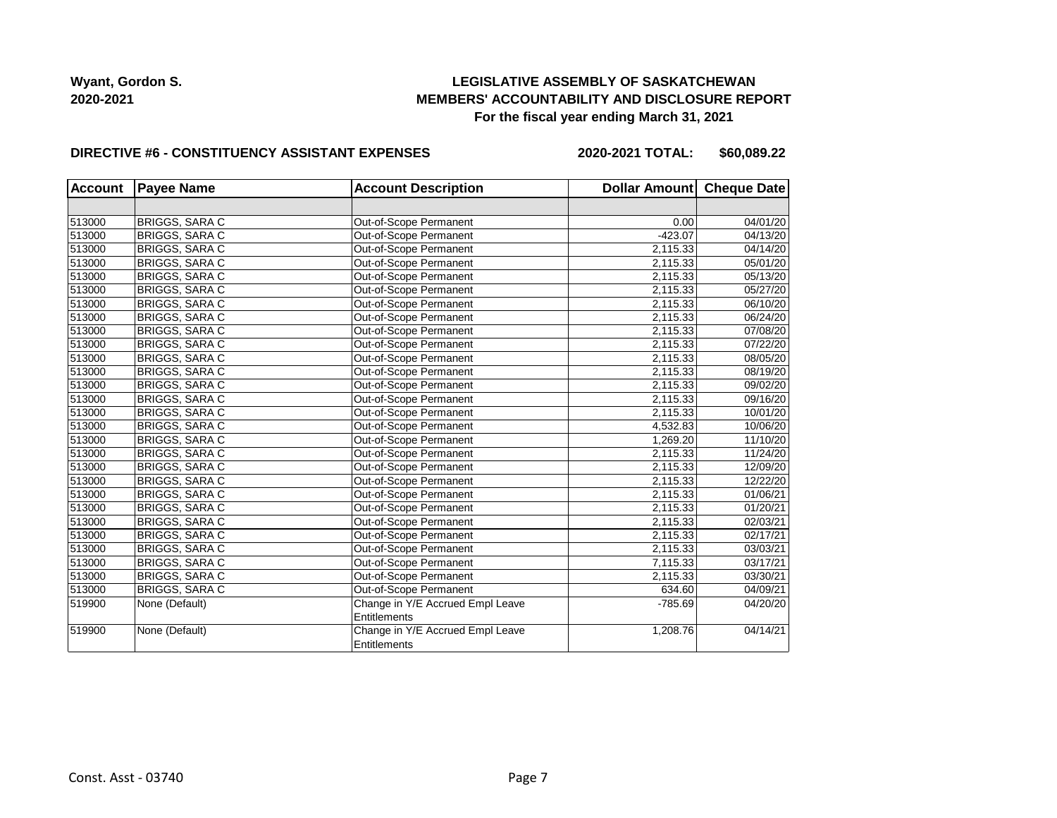# **LEGISLATIVE ASSEMBLY OF SASKATCHEWAN MEMBERS' ACCOUNTABILITY AND DISCLOSURE REPORT For the fiscal year ending March 31, 2021**

#### **DIRECTIVE #6 - CONSTITUENCY ASSISTANT EXPENSES**

**2020-2021 TOTAL: \$60,089.22**

| <b>Account</b> | <b>Payee Name</b>     | <b>Account Description</b>       | Dollar Amount Cheque Date |          |
|----------------|-----------------------|----------------------------------|---------------------------|----------|
|                |                       |                                  |                           |          |
| 513000         | <b>BRIGGS, SARA C</b> | Out-of-Scope Permanent           | 0.00                      | 04/01/20 |
| 513000         | BRIGGS, SARA C        | Out-of-Scope Permanent           | $-423.07$                 | 04/13/20 |
| 513000         | <b>BRIGGS, SARA C</b> | Out-of-Scope Permanent           | 2.115.33                  | 04/14/20 |
| 513000         | <b>BRIGGS, SARA C</b> | Out-of-Scope Permanent           | 2,115.33                  | 05/01/20 |
| 513000         | <b>BRIGGS, SARA C</b> | Out-of-Scope Permanent           | 2,115.33                  | 05/13/20 |
| 513000         | <b>BRIGGS, SARA C</b> | Out-of-Scope Permanent           | 2,115.33                  | 05/27/20 |
| 513000         | BRIGGS, SARA C        | Out-of-Scope Permanent           | 2,115.33                  | 06/10/20 |
| 513000         | <b>BRIGGS, SARA C</b> | Out-of-Scope Permanent           | 2,115.33                  | 06/24/20 |
| 513000         | <b>BRIGGS, SARA C</b> | Out-of-Scope Permanent           | 2,115.33                  | 07/08/20 |
| 513000         | <b>BRIGGS, SARA C</b> | Out-of-Scope Permanent           | 2,115.33                  | 07/22/20 |
| 513000         | <b>BRIGGS, SARA C</b> | Out-of-Scope Permanent           | 2,115.33                  | 08/05/20 |
| 513000         | <b>BRIGGS, SARA C</b> | Out-of-Scope Permanent           | 2,115.33                  | 08/19/20 |
| 513000         | <b>BRIGGS, SARA C</b> | Out-of-Scope Permanent           | 2,115.33                  | 09/02/20 |
| 513000         | <b>BRIGGS, SARA C</b> | Out-of-Scope Permanent           | 2,115.33                  | 09/16/20 |
| 513000         | <b>BRIGGS, SARA C</b> | Out-of-Scope Permanent           | 2,115.33                  | 10/01/20 |
| 513000         | <b>BRIGGS, SARA C</b> | Out-of-Scope Permanent           | 4,532.83                  | 10/06/20 |
| 513000         | <b>BRIGGS, SARA C</b> | Out-of-Scope Permanent           | 1,269.20                  | 11/10/20 |
| 513000         | <b>BRIGGS, SARA C</b> | Out-of-Scope Permanent           | 2,115.33                  | 11/24/20 |
| 513000         | <b>BRIGGS, SARA C</b> | Out-of-Scope Permanent           | 2,115.33                  | 12/09/20 |
| 513000         | <b>BRIGGS, SARA C</b> | Out-of-Scope Permanent           | 2,115.33                  | 12/22/20 |
| 513000         | <b>BRIGGS, SARA C</b> | Out-of-Scope Permanent           | 2,115.33                  | 01/06/21 |
| 513000         | <b>BRIGGS, SARA C</b> | Out-of-Scope Permanent           | 2,115.33                  | 01/20/21 |
| 513000         | <b>BRIGGS, SARA C</b> | Out-of-Scope Permanent           | 2,115.33                  | 02/03/21 |
| 513000         | <b>BRIGGS, SARA C</b> | Out-of-Scope Permanent           | 2,115.33                  | 02/17/21 |
| 513000         | <b>BRIGGS, SARA C</b> | Out-of-Scope Permanent           | 2,115.33                  | 03/03/21 |
| 513000         | <b>BRIGGS, SARA C</b> | Out-of-Scope Permanent           | 7,115.33                  | 03/17/21 |
| 513000         | <b>BRIGGS, SARA C</b> | Out-of-Scope Permanent           | 2,115.33                  | 03/30/21 |
| 513000         | <b>BRIGGS, SARA C</b> | Out-of-Scope Permanent           | 634.60                    | 04/09/21 |
| 519900         | None (Default)        | Change in Y/E Accrued Empl Leave | $-785.69$                 | 04/20/20 |
|                |                       | <b>Entitlements</b>              |                           |          |
| 519900         | None (Default)        | Change in Y/E Accrued Empl Leave | 1,208.76                  | 04/14/21 |
|                |                       | Entitlements                     |                           |          |